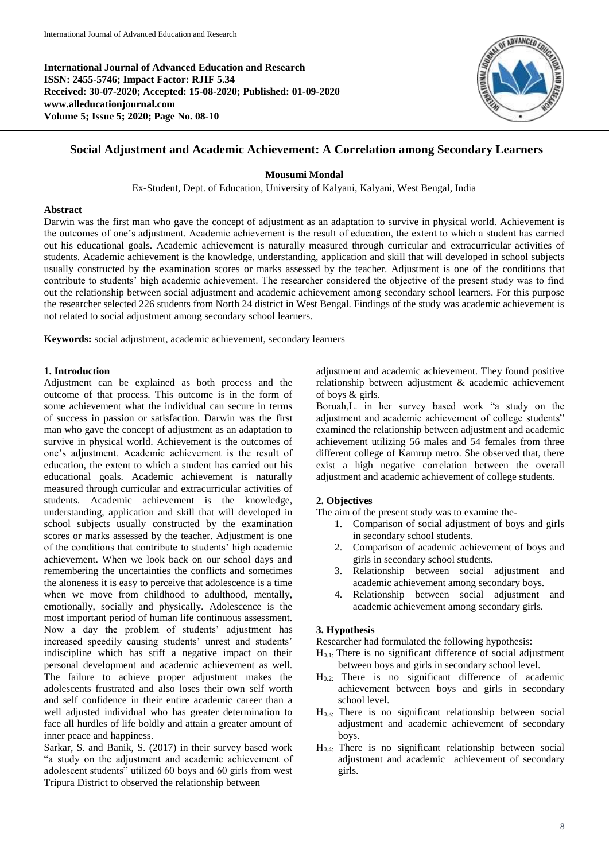**International Journal of Advanced Education and Research ISSN: 2455-5746; Impact Factor: RJIF 5.34 Received: 30-07-2020; Accepted: 15-08-2020; Published: 01-09-2020 www.alleducationjournal.com Volume 5; Issue 5; 2020; Page No. 08-10**



# **Social Adjustment and Academic Achievement: A Correlation among Secondary Learners**

**Mousumi Mondal**

Ex-Student, Dept. of Education, University of Kalyani, Kalyani, West Bengal, India

#### **Abstract**

Darwin was the first man who gave the concept of adjustment as an adaptation to survive in physical world. Achievement is the outcomes of one's adjustment. Academic achievement is the result of education, the extent to which a student has carried out his educational goals. Academic achievement is naturally measured through curricular and extracurricular activities of students. Academic achievement is the knowledge, understanding, application and skill that will developed in school subjects usually constructed by the examination scores or marks assessed by the teacher. Adjustment is one of the conditions that contribute to students' high academic achievement. The researcher considered the objective of the present study was to find out the relationship between social adjustment and academic achievement among secondary school learners. For this purpose the researcher selected 226 students from North 24 district in West Bengal. Findings of the study was academic achievement is not related to social adjustment among secondary school learners.

**Keywords:** social adjustment, academic achievement, secondary learners

#### **1. Introduction**

Adjustment can be explained as both process and the outcome of that process. This outcome is in the form of some achievement what the individual can secure in terms of success in passion or satisfaction. Darwin was the first man who gave the concept of adjustment as an adaptation to survive in physical world. Achievement is the outcomes of one's adjustment. Academic achievement is the result of education, the extent to which a student has carried out his educational goals. Academic achievement is naturally measured through curricular and extracurricular activities of students. Academic achievement is the knowledge, understanding, application and skill that will developed in school subjects usually constructed by the examination scores or marks assessed by the teacher. Adjustment is one of the conditions that contribute to students' high academic achievement. When we look back on our school days and remembering the uncertainties the conflicts and sometimes the aloneness it is easy to perceive that adolescence is a time when we move from childhood to adulthood, mentally, emotionally, socially and physically. Adolescence is the most important period of human life continuous assessment. Now a day the problem of students' adjustment has increased speedily causing students' unrest and students' indiscipline which has stiff a negative impact on their personal development and academic achievement as well. The failure to achieve proper adjustment makes the adolescents frustrated and also loses their own self worth and self confidence in their entire academic career than a well adjusted individual who has greater determination to face all hurdles of life boldly and attain a greater amount of inner peace and happiness.

Sarkar, S. and Banik, S. (2017) in their survey based work "a study on the adjustment and academic achievement of adolescent students" utilized 60 boys and 60 girls from west Tripura District to observed the relationship between

adjustment and academic achievement. They found positive relationship between adjustment & academic achievement of boys & girls.

Boruah,L. in her survey based work "a study on the adjustment and academic achievement of college students" examined the relationship between adjustment and academic achievement utilizing  $56$  males and  $54$  females from three different college of Kamrup metro. She observed that, there exist a high negative correlation between the overall adjustment and academic achievement of college students.

#### **2. Objectives**

The aim of the present study was to examine the-

- 1. Comparison of social adjustment of boys and girls in secondary school students.
- 2. Comparison of academic achievement of boys and girls in secondary school students.
- 3. Relationship between social adjustment and academic achievement among secondary boys.
- 4. Relationship between social adjustment and academic achievement among secondary girls.

#### **3. Hypothesis**

Researcher had formulated the following hypothesis:

- H0.1: There is no significant difference of social adjustment between boys and girls in secondary school level.
- $H<sub>0.2</sub>$ : There is no significant difference of academic achievement between boys and girls in secondary school level.
- $H<sub>0.3</sub>$ : There is no significant relationship between social adjustment and academic achievement of secondary boys.
- H0.4: There is no significant relationship between social adjustment and academic achievement of secondary girls.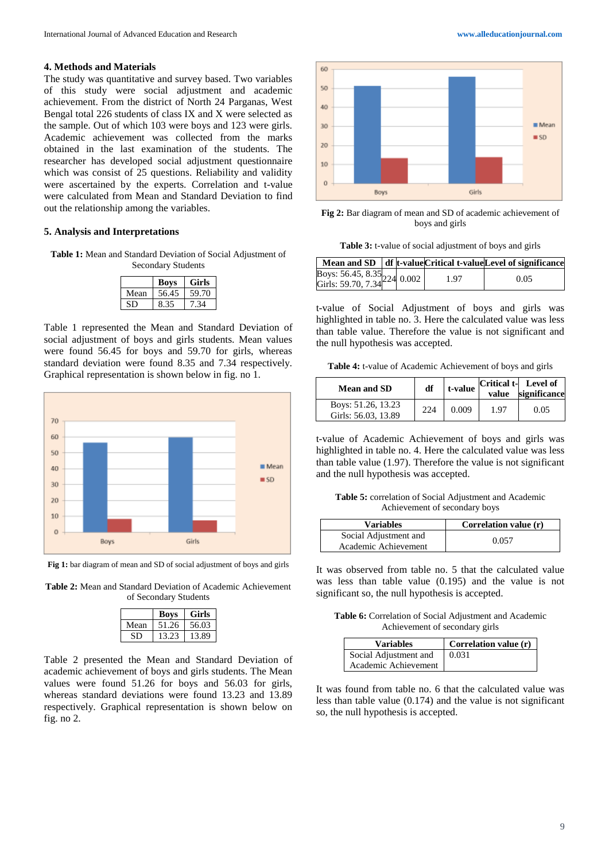#### **4. Methods and Materials**

The study was quantitative and survey based. Two variables of this study were social adjustment and academic achievement. From the district of North 24 Parganas, West Bengal total 226 students of class IX and X were selected as the sample. Out of which 103 were boys and 123 were girls. Academic achievement was collected from the marks obtained in the last examination of the students. The researcher has developed social adjustment questionnaire which was consist of 25 questions. Reliability and validity were ascertained by the experts. Correlation and t-value were calculated from Mean and Standard Deviation to find out the relationship among the variables.

#### **5. Analysis and Interpretations**

**Table 1:** Mean and Standard Deviation of Social Adjustment of Secondary Students

|      | <b>Boys</b> | <b>Girls</b> |
|------|-------------|--------------|
| Mean | 56.45       | 59.70        |
|      |             |              |

Table 1 represented the Mean and Standard Deviation of social adjustment of boys and girls students. Mean values were found 56.45 for boys and 59.70 for girls, whereas standard deviation were found 8.35 and 7.34 respectively. Graphical representation is shown below in fig. no 1.



**Fig 1:** bar diagram of mean and SD of social adjustment of boys and girls

**Table 2:** Mean and Standard Deviation of Academic Achievement of Secondary Students

|      | <b>Boys</b> | Girls |
|------|-------------|-------|
| Mean | 51.26       | 56.03 |
| SE   | 13.23       | 13.89 |

Table 2 presented the Mean and Standard Deviation of academic achievement of boys and girls students. The Mean values were found 51.26 for boys and 56.03 for girls, whereas standard deviations were found 13.23 and 13.89 respectively. Graphical representation is shown below on fig. no 2.



**Fig 2:** Bar diagram of mean and SD of academic achievement of boys and girls

**Table 3:** t-value of social adjustment of boys and girls

|                                                              |  |      | Mean and SD df t-value Critical t-value Level of significance |
|--------------------------------------------------------------|--|------|---------------------------------------------------------------|
| Boys: 56.45, 8.35<br>Girls: 59.70, 7.34 <sup>224</sup> 0.002 |  | 1.97 | 0.05                                                          |
|                                                              |  |      |                                                               |

t-value of Social Adjustment of boys and girls was highlighted in table no. 3. Here the calculated value was less than table value. Therefore the value is not significant and the null hypothesis was accepted.

**Table 4:** t-value of Academic Achievement of boys and girls

| <b>Mean and SD</b>                        | df  | t-value | value | Critical t- Level of<br>significance |
|-------------------------------------------|-----|---------|-------|--------------------------------------|
| Boys: 51.26, 13.23<br>Girls: 56.03, 13.89 | 224 | 0.009   | 1.97  | 0.05                                 |

t-value of Academic Achievement of boys and girls was highlighted in table no. 4. Here the calculated value was less than table value (1.97). Therefore the value is not significant and the null hypothesis was accepted.

**Table 5:** correlation of Social Adjustment and Academic Achievement of secondary boys

| <b>Variables</b>      | Correlation value (r) |  |
|-----------------------|-----------------------|--|
| Social Adjustment and | 0.057                 |  |
| Academic Achievement  |                       |  |

It was observed from table no. 5 that the calculated value was less than table value (0.195) and the value is not significant so, the null hypothesis is accepted.

**Table 6:** Correlation of Social Adjustment and Academic Achievement of secondary girls

| <b>Variables</b>      | $\mid$ Correlation value $(r)$ |
|-----------------------|--------------------------------|
| Social Adjustment and | 0.031                          |
| Academic Achievement  |                                |

It was found from table no. 6 that the calculated value was less than table value (0.174) and the value is not significant so, the null hypothesis is accepted.